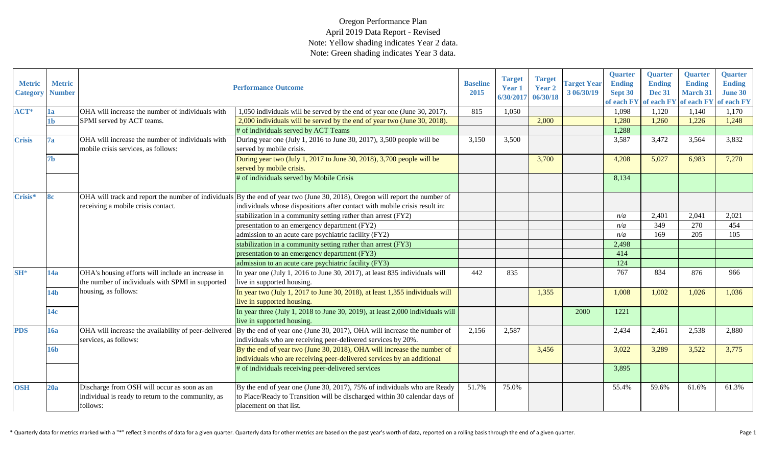| <b>Metric</b><br><b>Category</b> | <b>Metric</b><br><b>Number</b> |                                                                                                               | <b>Performance Outcome</b>                                                                                                                                                                                 | <b>Baseline</b><br>2015 | <b>Target</b><br>Year 1<br>6/30/2017 | <b>Target</b><br>Year 2<br>06/30/18 | <b>Target Year</b><br>3 06/30/19 | <b>Quarter</b><br><b>Ending</b><br>Sept 30<br>of each FY | <b>Quarter</b><br><b>Ending</b><br><b>Dec 31</b><br>of each FY | <b>Quarter</b><br><b>Ending</b><br><b>March 31</b><br>of each FY | Quarter<br><b>Ending</b><br><b>June 30</b><br>of each FY |
|----------------------------------|--------------------------------|---------------------------------------------------------------------------------------------------------------|------------------------------------------------------------------------------------------------------------------------------------------------------------------------------------------------------------|-------------------------|--------------------------------------|-------------------------------------|----------------------------------|----------------------------------------------------------|----------------------------------------------------------------|------------------------------------------------------------------|----------------------------------------------------------|
| ACT*                             | 1a                             | OHA will increase the number of individuals with                                                              | 1,050 individuals will be served by the end of year one (June 30, 2017).                                                                                                                                   | 815                     | 1,050                                |                                     |                                  | 1,098                                                    | 1,120                                                          | 1,140                                                            | 1,170                                                    |
|                                  | 1 <sub>b</sub>                 | SPMI served by ACT teams.                                                                                     | 2,000 individuals will be served by the end of year two (June 30, 2018).                                                                                                                                   |                         |                                      | 2,000                               |                                  | 1,280                                                    | 1,260                                                          | 1,226                                                            | 1,248                                                    |
|                                  |                                |                                                                                                               | # of individuals served by ACT Teams                                                                                                                                                                       |                         |                                      |                                     |                                  | 1,288                                                    |                                                                |                                                                  |                                                          |
| <b>Crisis</b>                    | 7a                             | OHA will increase the number of individuals with<br>mobile crisis services, as follows:                       | During year one (July 1, 2016 to June 30, 2017), 3,500 people will be<br>served by mobile crisis.                                                                                                          | 3,150                   | 3,500                                |                                     |                                  | 3,587                                                    | 3,472                                                          | 3,564                                                            | 3,832                                                    |
|                                  | 7b                             |                                                                                                               | During year two (July 1, 2017 to June 30, 2018), 3,700 people will be<br>served by mobile crisis.                                                                                                          |                         |                                      | 3,700                               |                                  | 4,208                                                    | 5,027                                                          | 6,983                                                            | 7,270                                                    |
|                                  |                                |                                                                                                               | # of individuals served by Mobile Crisis                                                                                                                                                                   |                         |                                      |                                     |                                  | 8,134                                                    |                                                                |                                                                  |                                                          |
| Crisis*                          | <b>8c</b>                      | receiving a mobile crisis contact.                                                                            | OHA will track and report the number of individuals By the end of year two (June 30, 2018), Oregon will report the number of<br>individuals whose dispositions after contact with mobile crisis result in: |                         |                                      |                                     |                                  |                                                          |                                                                |                                                                  |                                                          |
|                                  |                                |                                                                                                               | stabilization in a community setting rather than arrest (FY2)                                                                                                                                              |                         |                                      |                                     |                                  | n/a                                                      | 2,401                                                          | 2,041                                                            | 2,021                                                    |
|                                  |                                |                                                                                                               | presentation to an emergency department (FY2)                                                                                                                                                              |                         |                                      |                                     |                                  | n/a                                                      | 349                                                            | 270                                                              | 454                                                      |
|                                  |                                |                                                                                                               | admission to an acute care psychiatric facility (FY2)                                                                                                                                                      |                         |                                      |                                     |                                  | n/a                                                      | 169                                                            | 205                                                              | 105                                                      |
|                                  |                                |                                                                                                               | stabilization in a community setting rather than arrest (FY3)                                                                                                                                              |                         |                                      |                                     |                                  | 2,498                                                    |                                                                |                                                                  |                                                          |
|                                  |                                |                                                                                                               | presentation to an emergency department (FY3)                                                                                                                                                              |                         |                                      |                                     |                                  | 414                                                      |                                                                |                                                                  |                                                          |
|                                  |                                |                                                                                                               | admission to an acute care psychiatric facility (FY3)                                                                                                                                                      |                         |                                      |                                     |                                  | 124                                                      |                                                                |                                                                  |                                                          |
| $SH*$                            | 14a                            | OHA's housing efforts will include an increase in<br>the number of individuals with SPMI in supported         | In year one (July 1, 2016 to June 30, 2017), at least 835 individuals will<br>live in supported housing.                                                                                                   | 442                     | 835                                  |                                     |                                  | 767                                                      | 834                                                            | 876                                                              | 966                                                      |
|                                  | 14 <sub>b</sub>                | housing, as follows:                                                                                          | In year two (July 1, 2017 to June 30, 2018), at least 1,355 individuals will<br>live in supported housing.                                                                                                 |                         |                                      | 1,355                               |                                  | 1,008                                                    | 1,002                                                          | 1,026                                                            | 1,036                                                    |
|                                  | 14c                            |                                                                                                               | In year three (July 1, 2018 to June 30, 2019), at least 2,000 individuals will<br>live in supported housing.                                                                                               |                         |                                      |                                     | 2000                             | 1221                                                     |                                                                |                                                                  |                                                          |
| <b>PDS</b>                       | 16a                            | OHA will increase the availability of peer-delivered<br>services, as follows:                                 | By the end of year one (June 30, 2017), OHA will increase the number of<br>individuals who are receiving peer-delivered services by 20%.                                                                   | 2,156                   | 2,587                                |                                     |                                  | 2,434                                                    | 2,461                                                          | 2,538                                                            | 2,880                                                    |
|                                  | 16 <sub>b</sub>                |                                                                                                               | By the end of year two (June 30, 2018), OHA will increase the number of<br>individuals who are receiving peer-delivered services by an additional                                                          |                         |                                      | 3,456                               |                                  | 3,022                                                    | 3,289                                                          | 3,522                                                            | 3,775                                                    |
|                                  |                                |                                                                                                               | # of individuals receiving peer-delivered services                                                                                                                                                         |                         |                                      |                                     |                                  | 3,895                                                    |                                                                |                                                                  |                                                          |
| <b>OSH</b>                       | 20a                            | Discharge from OSH will occur as soon as an<br>individual is ready to return to the community, as<br>follows: | By the end of year one (June 30, 2017), 75% of individuals who are Ready<br>to Place/Ready to Transition will be discharged within 30 calendar days of<br>placement on that list.                          | 51.7%                   | 75.0%                                |                                     |                                  | 55.4%                                                    | 59.6%                                                          | 61.6%                                                            | 61.3%                                                    |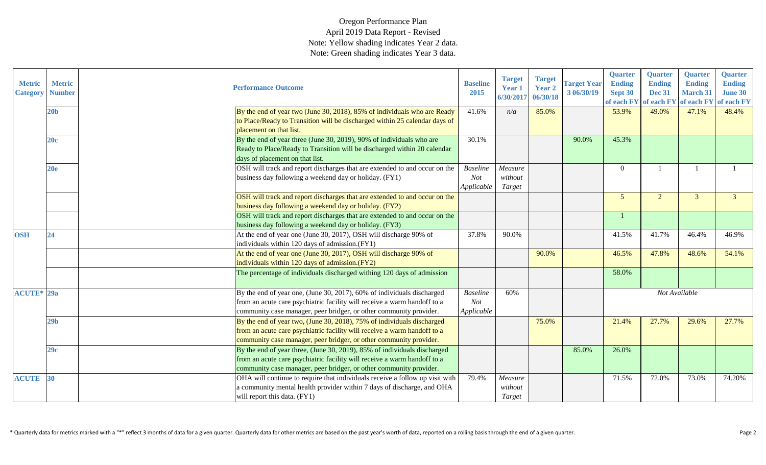| <b>Metric</b><br><b>Category</b> | <b>Metric</b><br><b>Number</b> | <b>Performance Outcome</b>                                                                                                                                                                                                 | <b>Baseline</b><br>2015              | <b>Target</b><br>Year 1<br>6/30/2017 | <b>Target</b><br>Year 2<br>06/30/18 | <b>Target Year</b><br>3 06/30/19 | Quarter<br><b>Ending</b><br>Sept 30<br>of each FY | Quarter<br><b>Ending</b><br><b>Dec 31</b><br>of each FY | Quarter<br><b>Ending</b><br><b>March 31</b><br>of each FY | Quarter<br><b>Ending</b><br><b>June 30</b><br>of each FY |
|----------------------------------|--------------------------------|----------------------------------------------------------------------------------------------------------------------------------------------------------------------------------------------------------------------------|--------------------------------------|--------------------------------------|-------------------------------------|----------------------------------|---------------------------------------------------|---------------------------------------------------------|-----------------------------------------------------------|----------------------------------------------------------|
|                                  | 20 <sub>b</sub>                | By the end of year two (June 30, 2018), 85% of individuals who are Ready<br>to Place/Ready to Transition will be discharged within 25 calendar days of<br>placement on that list.                                          | 41.6%                                | n/a                                  | 85.0%                               |                                  | 53.9%                                             | 49.0%                                                   | 47.1%                                                     | 48.4%                                                    |
|                                  | 20c                            | By the end of year three (June 30, 2019), 90% of individuals who are<br>Ready to Place/Ready to Transition will be discharged within 20 calendar<br>days of placement on that list.                                        | 30.1%                                |                                      |                                     | 90.0%                            | 45.3%                                             |                                                         |                                                           |                                                          |
|                                  | 20 <sub>e</sub>                | OSH will track and report discharges that are extended to and occur on the<br>business day following a weekend day or holiday. (FY1)                                                                                       | <b>Baseline</b><br>Not<br>Applicable | Measure<br>without<br>Target         |                                     |                                  | $\Omega$                                          |                                                         |                                                           |                                                          |
|                                  |                                | OSH will track and report discharges that are extended to and occur on the<br>business day following a weekend day or holiday. (FY2)                                                                                       |                                      |                                      |                                     |                                  | $5\overline{)}$                                   | $\overline{2}$                                          | 3                                                         | $\mathcal{E}$                                            |
|                                  |                                | OSH will track and report discharges that are extended to and occur on the<br>business day following a weekend day or holiday. (FY3)                                                                                       |                                      |                                      |                                     |                                  |                                                   |                                                         |                                                           |                                                          |
| <b>OSH</b>                       | 24                             | At the end of year one (June 30, 2017), OSH will discharge 90% of<br>individuals within 120 days of admission.(FY1)                                                                                                        | 37.8%                                | 90.0%                                |                                     |                                  | 41.5%                                             | 41.7%                                                   | 46.4%                                                     | 46.9%                                                    |
|                                  |                                | At the end of year one (June 30, 2017), OSH will discharge 90% of<br>individuals within 120 days of admission.(FY2)                                                                                                        |                                      |                                      | 90.0%                               |                                  | 46.5%                                             | 47.8%                                                   | 48.6%                                                     | 54.1%                                                    |
|                                  |                                | The percentage of individuals discharged withing 120 days of admission                                                                                                                                                     |                                      |                                      |                                     |                                  | 58.0%                                             |                                                         |                                                           |                                                          |
| <b>ACUTE*</b> 29a                |                                | By the end of year one, (June 30, 2017), 60% of individuals discharged<br>from an acute care psychiatric facility will receive a warm handoff to a<br>community case manager, peer bridger, or other community provider.   | <b>Baseline</b><br>Not<br>Applicable | 60%                                  |                                     |                                  |                                                   | Not Available                                           |                                                           |                                                          |
|                                  | 29 <sub>b</sub>                | By the end of year two, (June 30, 2018), 75% of individuals discharged<br>from an acute care psychiatric facility will receive a warm handoff to a<br>community case manager, peer bridger, or other community provider.   |                                      |                                      | 75.0%                               |                                  | 21.4%                                             | 27.7%                                                   | 29.6%                                                     | 27.7%                                                    |
|                                  | 29c                            | By the end of year three, (June 30, 2019), 85% of individuals discharged<br>from an acute care psychiatric facility will receive a warm handoff to a<br>community case manager, peer bridger, or other community provider. |                                      |                                      |                                     | 85.0%                            | 26.0%                                             |                                                         |                                                           |                                                          |
| <b>ACUTE</b> 30                  |                                | OHA will continue to require that individuals receive a follow up visit with<br>a community mental health provider within 7 days of discharge, and OHA<br>will report this data. (FY1)                                     | 79.4%                                | Measure<br>without<br>Target         |                                     |                                  | 71.5%                                             | 72.0%                                                   | 73.0%                                                     | 74.20%                                                   |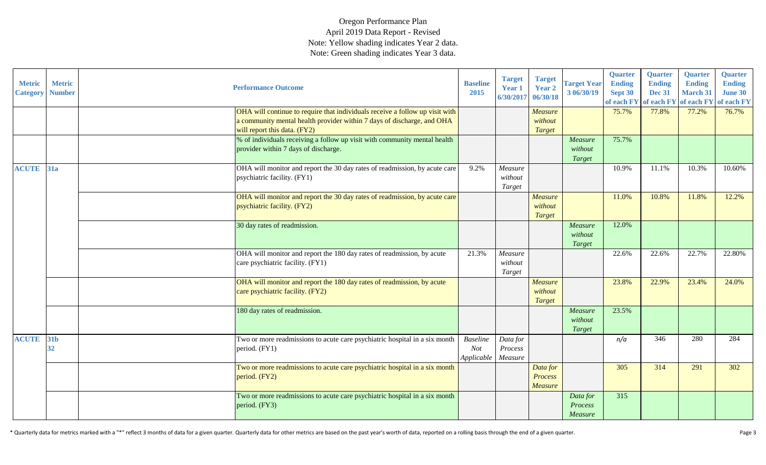| <b>Metric</b><br><b>Category</b> | <b>Metric</b><br><b>Number</b> | <b>Performance Outcome</b>                                                                                                                                                             | <b>Baseline</b><br>2015                     | <b>Target</b><br>Year 1<br>6/30/2017 | <b>Target</b><br>Year 2<br>06/30/18   | <b>Target Year</b><br>3 06/30/19 | <b>Quarter</b><br><b>Ending</b><br>Sept 30<br>of each FY | <b>Quarter</b><br><b>Ending</b><br><b>Dec 31</b><br>of each FY | <b>Quarter</b><br><b>Ending</b><br><b>March 31</b><br>of each FY | <b>Quarter</b><br><b>Ending</b><br><b>June 30</b><br>of each FY |
|----------------------------------|--------------------------------|----------------------------------------------------------------------------------------------------------------------------------------------------------------------------------------|---------------------------------------------|--------------------------------------|---------------------------------------|----------------------------------|----------------------------------------------------------|----------------------------------------------------------------|------------------------------------------------------------------|-----------------------------------------------------------------|
|                                  |                                | OHA will continue to require that individuals receive a follow up visit with<br>a community mental health provider within 7 days of discharge, and OHA<br>will report this data. (FY2) |                                             |                                      | Measure<br>without<br><b>Target</b>   |                                  | 75.7%                                                    | 77.8%                                                          | 77.2%                                                            | 76.7%                                                           |
|                                  |                                | % of individuals receiving a follow up visit with community mental health<br>provider within 7 days of discharge.                                                                      |                                             |                                      |                                       | Measure<br>without<br>Target     | 75.7%                                                    |                                                                |                                                                  |                                                                 |
| <b>ACUTE</b>                     | <b>31a</b>                     | OHA will monitor and report the 30 day rates of readmission, by acute care<br>psychiatric facility. (FY1)                                                                              | 9.2%                                        | Measure<br>without<br>Target         |                                       |                                  | 10.9%                                                    | 11.1%                                                          | 10.3%                                                            | 10.60%                                                          |
|                                  |                                | OHA will monitor and report the 30 day rates of readmission, by acute care<br>psychiatric facility. (FY2)                                                                              |                                             |                                      | Measure<br>without<br><b>Target</b>   |                                  | 11.0%                                                    | 10.8%                                                          | 11.8%                                                            | 12.2%                                                           |
|                                  |                                | 30 day rates of readmission.                                                                                                                                                           |                                             |                                      |                                       | Measure<br>without<br>Target     | 12.0%                                                    |                                                                |                                                                  |                                                                 |
|                                  |                                | OHA will monitor and report the 180 day rates of readmission, by acute<br>care psychiatric facility. (FY1)                                                                             | 21.3%                                       | Measure<br>without<br>Target         |                                       |                                  | 22.6%                                                    | 22.6%                                                          | 22.7%                                                            | 22.80%                                                          |
|                                  |                                | OHA will monitor and report the 180 day rates of readmission, by acute<br>care psychiatric facility. (FY2)                                                                             |                                             |                                      | Measure<br>without<br><b>Target</b>   |                                  | 23.8%                                                    | 22.9%                                                          | 23.4%                                                            | 24.0%                                                           |
|                                  |                                | 180 day rates of readmission.                                                                                                                                                          |                                             |                                      |                                       | Measure<br>without<br>Target     | 23.5%                                                    |                                                                |                                                                  |                                                                 |
| <b>ACUTE</b>                     | 31b<br>32                      | Two or more readmissions to acute care psychiatric hospital in a six month<br>period. (FY1)                                                                                            | <b>Baseline</b><br><b>Not</b><br>Applicable | Data for<br>Process<br>Measure       |                                       |                                  | n/a                                                      | 346                                                            | 280                                                              | 284                                                             |
|                                  |                                | Two or more readmissions to acute care psychiatric hospital in a six month<br>period. (FY2)                                                                                            |                                             |                                      | Data for<br><b>Process</b><br>Measure |                                  | 305                                                      | 314                                                            | 291                                                              | 302                                                             |
|                                  |                                | Two or more readmissions to acute care psychiatric hospital in a six month<br>period. (FY3)                                                                                            |                                             |                                      |                                       | Data for<br>Process<br>Measure   | 315                                                      |                                                                |                                                                  |                                                                 |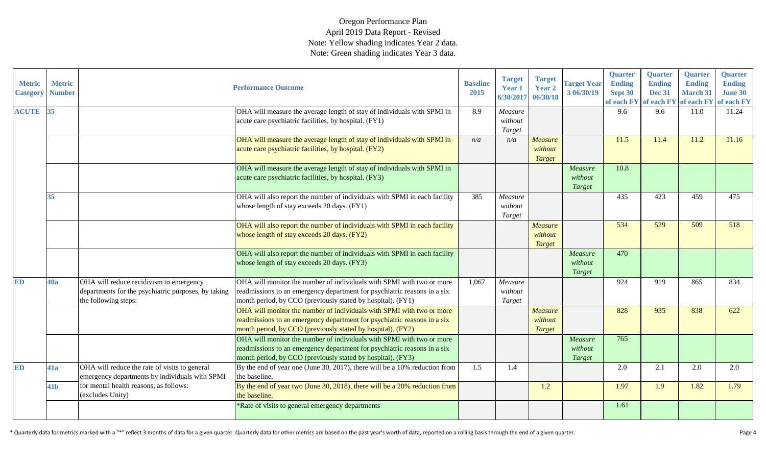| <b>Metric</b><br><b>Category</b> | <b>Metric</b><br><b>Number</b> |                                                                                                                        | <b>Performance Outcome</b>                                                                                                                                                                                       | <b>Baseline</b><br>2015 | <b>Target</b><br>Year 1<br>6/30/2017 | <b>Target</b><br>Year 2<br>06/30/18 | <b>Target Year</b><br>3 06/30/19 | Quarter<br><b>Ending</b><br>Sept 30<br>of each FY | Quarter<br><b>Ending</b><br><b>Dec 31</b><br>of each FY | Quarter<br><b>Ending</b><br><b>March 31</b> | <b>Quarter</b><br><b>Ending</b><br><b>June 30</b><br>of each FY of each FY |
|----------------------------------|--------------------------------|------------------------------------------------------------------------------------------------------------------------|------------------------------------------------------------------------------------------------------------------------------------------------------------------------------------------------------------------|-------------------------|--------------------------------------|-------------------------------------|----------------------------------|---------------------------------------------------|---------------------------------------------------------|---------------------------------------------|----------------------------------------------------------------------------|
| <b>ACUTE</b>                     | 35                             |                                                                                                                        | OHA will measure the average length of stay of individuals with SPMI in<br>acute care psychiatric facilities, by hospital. (FY1)                                                                                 | 8.9                     | Measure<br>without<br>Target         |                                     |                                  | 9.6                                               | 9.6                                                     | 11.0                                        | 11.24                                                                      |
|                                  |                                |                                                                                                                        | OHA will measure the average length of stay of individuals with SPMI in<br>acute care psychiatric facilities, by hospital. (FY2)                                                                                 | n/a                     | n/a                                  | <b>Measure</b><br>without<br>Target |                                  | 11.5                                              | 11.4                                                    | 11.2                                        | 11.16                                                                      |
|                                  |                                |                                                                                                                        | OHA will measure the average length of stay of individuals with SPMI in<br>acute care psychiatric facilities, by hospital. (FY3)                                                                                 |                         |                                      |                                     | Measure<br>without<br>Target     | 10.8                                              |                                                         |                                             |                                                                            |
|                                  | 35                             |                                                                                                                        | OHA will also report the number of individuals with SPMI in each facility<br>whose length of stay exceeds 20 days. (FY1)                                                                                         | 385                     | Measure<br>without<br>Target         |                                     |                                  | 435                                               | 423                                                     | 459                                         | 475                                                                        |
|                                  |                                |                                                                                                                        | OHA will also report the number of individuals with SPMI in each facility<br>whose length of stay exceeds 20 days. (FY2)                                                                                         |                         |                                      | <b>Measure</b><br>without<br>Target |                                  | 534                                               | 529                                                     | 509                                         | 518                                                                        |
|                                  |                                |                                                                                                                        | OHA will also report the number of individuals with SPMI in each facility<br>whose length of stay exceeds 20 days. (FY3)                                                                                         |                         |                                      |                                     | Measure<br>without<br>Target     | 470                                               |                                                         |                                             |                                                                            |
| <b>ED</b>                        | 40a                            | OHA will reduce recidivism to emergency<br>departments for the psychiatric purposes, by taking<br>the following steps: | OHA will monitor the number of individuals with SPMI with two or more<br>readmissions to an emergency department for psychiatric reasons in a six<br>month period, by CCO (previously stated by hospital). (FY1) | 1,067                   | Measure<br>without<br>Target         |                                     |                                  | 924                                               | 919                                                     | 865                                         | 834                                                                        |
|                                  |                                |                                                                                                                        | OHA will monitor the number of individuals with SPMI with two or more<br>readmissions to an emergency department for psychiatric reasons in a six<br>month period, by CCO (previously stated by hospital). (FY2) |                         |                                      | <b>Measure</b><br>without<br>Target |                                  | 828                                               | 935                                                     | 838                                         | 622                                                                        |
|                                  |                                |                                                                                                                        | OHA will monitor the number of individuals with SPMI with two or more<br>readmissions to an emergency department for psychiatric reasons in a six<br>month period, by CCO (previously stated by hospital). (FY3) |                         |                                      |                                     | Measure<br>without<br>Target     | 765                                               |                                                         |                                             |                                                                            |
| <b>ED</b>                        | 41a                            | OHA will reduce the rate of visits to general<br>emergency departments by individuals with SPMI                        | By the end of year one (June 30, 2017), there will be a 10% reduction from<br>the baseline.                                                                                                                      | 1.5                     | 1.4                                  |                                     |                                  | 2.0                                               | 2.1                                                     | 2.0                                         | 2.0                                                                        |
|                                  | 41 <sub>b</sub>                | for mental health reasons, as follows:<br>(excludes Unity)                                                             | By the end of year two (June 30, 2018), there will be a 20% reduction from<br>the baseline.                                                                                                                      |                         |                                      | 1.2                                 |                                  | 1.97                                              | 1.9                                                     | 1.82                                        | 1.79                                                                       |
|                                  |                                |                                                                                                                        | Rate of visits to general emergency departments                                                                                                                                                                  |                         |                                      |                                     |                                  | 1.61                                              |                                                         |                                             |                                                                            |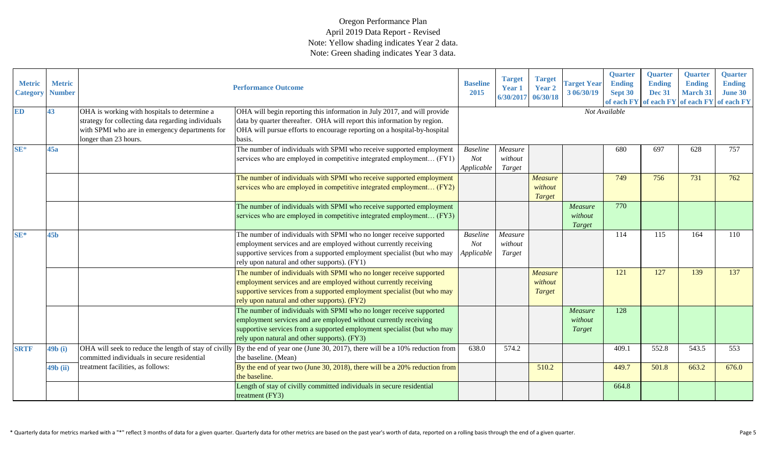| <b>Metric</b><br><b>Category</b> | <b>Metric</b><br><b>Number</b> |                                                                                                                                                                               | <b>Performance Outcome</b>                                                                                                                                                                                                                                         | <b>Baseline</b><br>2015                     | <b>Target</b><br><b>Year 1</b><br>6/30/2017 | <b>Target</b><br><b>Year 2</b><br>06/30/18 | <b>Target Year</b><br>3 06/30/19    | <b>Quarter</b><br><b>Ending</b><br>Sept 30 | <b>Quarter</b><br><b>Ending</b><br><b>Dec 31</b> | <b>Quarter</b><br><b>Ending</b><br><b>March 31</b><br>of each FY of each FY of each FY of each FY | Quarter<br><b>Ending</b><br><b>June 30</b> |
|----------------------------------|--------------------------------|-------------------------------------------------------------------------------------------------------------------------------------------------------------------------------|--------------------------------------------------------------------------------------------------------------------------------------------------------------------------------------------------------------------------------------------------------------------|---------------------------------------------|---------------------------------------------|--------------------------------------------|-------------------------------------|--------------------------------------------|--------------------------------------------------|---------------------------------------------------------------------------------------------------|--------------------------------------------|
| <b>ED</b>                        | 43                             | OHA is working with hospitals to determine a<br>strategy for collecting data regarding individuals<br>with SPMI who are in emergency departments for<br>longer than 23 hours. | OHA will begin reporting this information in July 2017, and will provide<br>data by quarter thereafter. OHA will report this information by region.<br>OHA will pursue efforts to encourage reporting on a hospital-by-hospital<br>basis.                          |                                             |                                             |                                            |                                     | Not Available                              |                                                  |                                                                                                   |                                            |
| $SE*$                            | 45a                            |                                                                                                                                                                               | The number of individuals with SPMI who receive supported employment<br>services who are employed in competitive integrated employment (FY1)                                                                                                                       | <b>Baseline</b><br><b>Not</b><br>Applicable | Measure<br>without<br>Target                |                                            |                                     | 680                                        | 697                                              | 628                                                                                               | 757                                        |
|                                  |                                |                                                                                                                                                                               | The number of individuals with SPMI who receive supported employment<br>services who are employed in competitive integrated employment (FY2)                                                                                                                       |                                             |                                             | Measure<br>without<br><b>Target</b>        |                                     | 749                                        | 756                                              | 731                                                                                               | 762                                        |
|                                  |                                |                                                                                                                                                                               | The number of individuals with SPMI who receive supported employment<br>services who are employed in competitive integrated employment (FY3)                                                                                                                       |                                             |                                             |                                            | Measure<br>without<br>Target        | 770                                        |                                                  |                                                                                                   |                                            |
| SE*                              | 45 <sub>b</sub>                |                                                                                                                                                                               | The number of individuals with SPMI who no longer receive supported<br>employment services and are employed without currently receiving<br>supportive services from a supported employment specialist (but who may<br>rely upon natural and other supports). (FY1) | <b>Baseline</b><br><b>Not</b><br>Applicable | Measure<br>without<br>Target                |                                            |                                     | 114                                        | 115                                              | 164                                                                                               | 110                                        |
|                                  |                                |                                                                                                                                                                               | The number of individuals with SPMI who no longer receive supported<br>employment services and are employed without currently receiving<br>supportive services from a supported employment specialist (but who may<br>rely upon natural and other supports). (FY2) |                                             |                                             | Measure<br>without<br><b>Target</b>        |                                     | 121                                        | 127                                              | 139                                                                                               | 137                                        |
|                                  |                                |                                                                                                                                                                               | The number of individuals with SPMI who no longer receive supported<br>employment services and are employed without currently receiving<br>supportive services from a supported employment specialist (but who may<br>rely upon natural and other supports). (FY3) |                                             |                                             |                                            | Measure<br>without<br><b>Target</b> | 128                                        |                                                  |                                                                                                   |                                            |
| <b>SRTF</b>                      | 49b(i)                         | OHA will seek to reduce the length of stay of civilly<br>committed individuals in secure residential                                                                          | By the end of year one (June 30, 2017), there will be a $10\%$ reduction from<br>the baseline. (Mean)                                                                                                                                                              | 638.0                                       | 574.2                                       |                                            |                                     | 409.1                                      | 552.8                                            | 543.5                                                                                             | 553                                        |
|                                  | 49b (ii)                       | treatment facilities, as follows:                                                                                                                                             | By the end of year two (June 30, 2018), there will be a 20% reduction from<br>the baseline.                                                                                                                                                                        |                                             |                                             | 510.2                                      |                                     | 449.7                                      | 501.8                                            | 663.2                                                                                             | 676.0                                      |
|                                  |                                |                                                                                                                                                                               | Length of stay of civilly committed individuals in secure residential<br>treatment (FY3)                                                                                                                                                                           |                                             |                                             |                                            |                                     | 664.8                                      |                                                  |                                                                                                   |                                            |